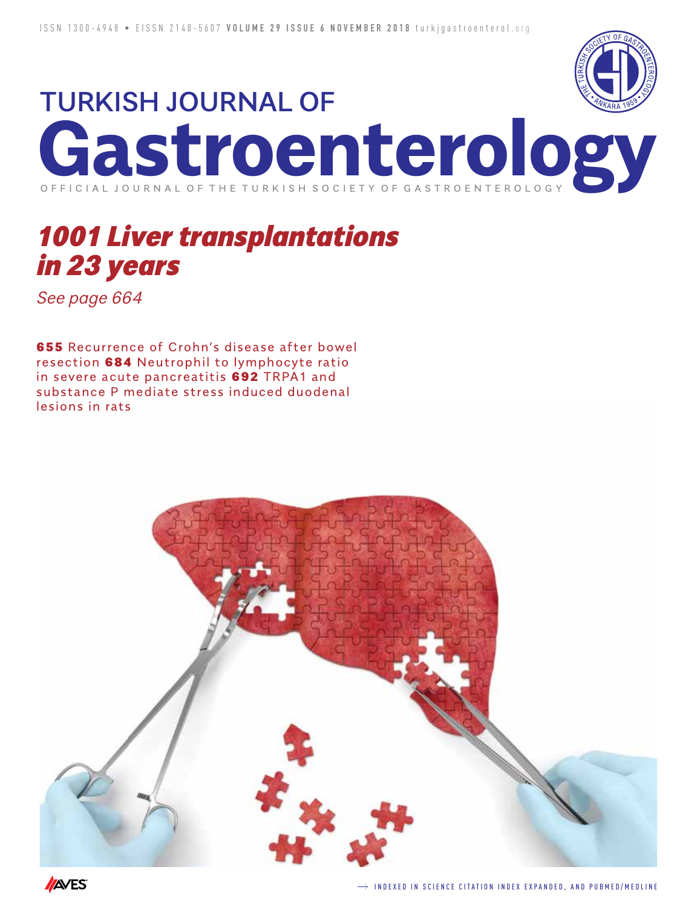

# TURKISH JOURNAL OF **Gastroenterology** O F F I C I A L J O U R N A L O F T H E T U R K I S H S O C I E T Y O F G A S T R O E N T E R O

# *1001 Liver transplantations in 23 years*

*See page 664*

655 Recurrence of Crohn's disease after bowel resection 684 Neutrophil to lymphocyte ratio in severe acute pancreatitis 692 TRPA1 and substance P mediate stress induced duodenal lesions in rats

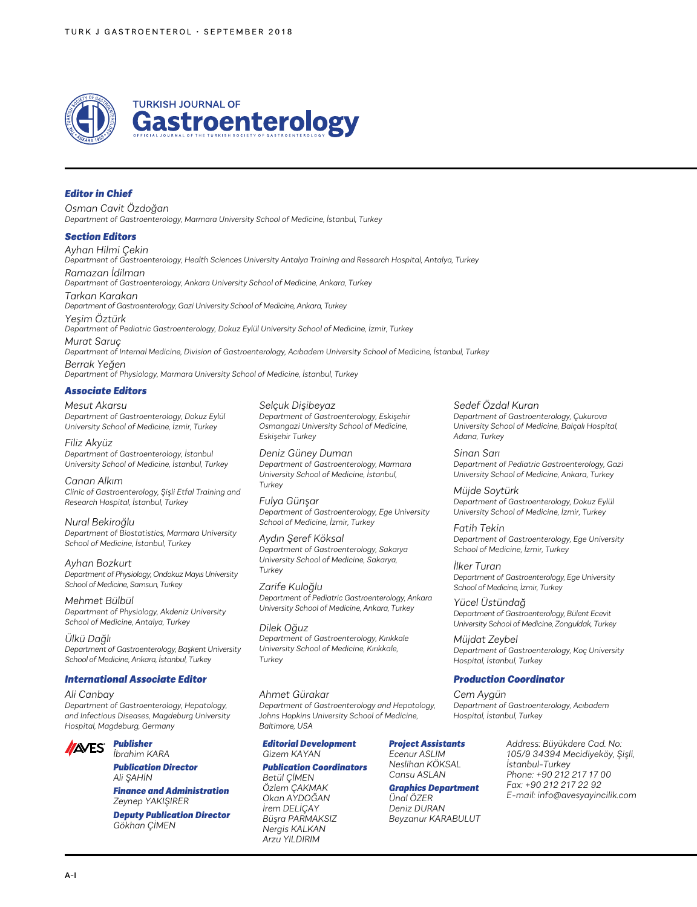

## *Editor in Chief*

*Osman Cavit Özdoğan Department of Gastroenterology, Marmara University School of Medicine, İstanbul, Turkey*

#### *Section Editors*

*Ayhan Hilmi Çekin Department of Gastroenterology, Health Sciences University Antalya Training and Research Hospital, Antalya, Turkey Ramazan İdilman Department of Gastroenterology, Ankara University School of Medicine, Ankara, Turkey Tarkan Karakan Department of Gastroenterology, Gazi University School of Medicine, Ankara, Turkey Yeşim Öztürk Department of Pediatric Gastroenterology, Dokuz Eylül University School of Medicine, İzmir, Turkey Murat Saruç Department of Internal Medicine, Division of Gastroenterology, Acıbadem University School of Medicine, İstanbul, Turkey Berrak Yeğen*

*Department of Physiology, Marmara University School of Medicine, İstanbul, Turkey*

## *Associate Editors*

*Mesut Akarsu Department of Gastroenterology, Dokuz Eylül University School of Medicine, İzmir, Turkey*

*Filiz Akyüz Department of Gastroenterology, İstanbul University School of Medicine, İstanbul, Turkey*

*Canan Alkım Clinic of Gastroenterology, Şişli Etfal Training and Research Hospital, İstanbul, Turkey*

*Nural Bekiroğlu Department of Biostatistics, Marmara University School of Medicine, İstanbul, Turkey*

*Ayhan Bozkurt Department of Physiology, Ondokuz Mayıs University School of Medicine, Samsun, Turkey*

*Mehmet Bülbül Department of Physiology, Akdeniz University School of Medicine, Antalya, Turkey*

*Ülkü Dağlı Department of Gastroenterology, Başkent University School of Medicine, Ankara, İstanbul, Turkey*

#### *International Associate Editor*

*Ali Canbay*

*Department of Gastroenterology, Hepatology, and Infectious Diseases, Magdeburg University Hospital, Magdeburg, Germany*



*Publication Director Ali ŞAHİN*

*Finance and Administration Zeynep YAKIŞIRER Deputy Publication Director Gökhan ÇİMEN*

*Selçuk Dişibeyaz Department of Gastroenterology, Eskişehir Osmangazi University School of Medicine, Eskişehir Turkey*

*Deniz Güney Duman Department of Gastroenterology, Marmara University School of Medicine, İstanbul, Turkey*

*Fulya Günşar Department of Gastroenterology, Ege University School of Medicine, İzmir, Turkey*

*Aydın Şeref Köksal Department of Gastroenterology, Sakarya University School of Medicine, Sakarya, Turkey*

*Zarife Kuloğlu Department of Pediatric Gastroenterology, Ankara University School of Medicine, Ankara, Turkey*

*Dilek Oğuz Department of Gastroenterology, Kırıkkale University School of Medicine, Kırıkkale, Turkey*

#### *Ahmet Gürakar*

*Department of Gastroenterology and Hepatology, Johns Hopkins University School of Medicine, Baltimore, USA*

#### *Editorial Development Gizem KAYAN*

# *Publication Coordinators*

*Betül ÇİMEN Özlem ÇAKMAK Okan AYDOĞAN İrem DELİÇAY Büşra PARMAKSIZ Nergis KALKAN Arzu YILDIRIM*

*Department of Gastroenterology, Çukurova University School of Medicine, Balçalı Hospital, Adana, Turkey* 

*Sedef Özdal Kuran* 

*Sinan Sarı Department of Pediatric Gastroenterology, Gazi University School of Medicine, Ankara, Turkey*

*Müjde Soytürk Department of Gastroenterology, Dokuz Eylül University School of Medicine, İzmir, Turkey*

*Fatih Tekin Department of Gastroenterology, Ege University School of Medicine, İzmir, Turkey*

*İlker Turan Department of Gastroenterology, Ege University School of Medicine, İzmir, Turkey*

*Yücel Üstündağ Department of Gastroenterology, Bülent Ecevit University School of Medicine, Zonguldak, Turkey*

*Müjdat Zeybel Department of Gastroenterology, Koç University Hospital, İstanbul, Turkey*

#### *Production Coordinator*

*Cem Aygün Department of Gastroenterology, Acıbadem Hospital, İstanbul, Turkey*

#### *Project Assistants*

*Ecenur ASLIM Neslihan KÖKSAL Cansu ASLAN*

*Graphics Department Ünal ÖZER*

*Deniz DURAN Beyzanur KARABULUT* *Address: Büyükdere Cad. No: 105/9 34394 Mecidiyeköy, Şişli, İstanbul-Turkey Phone: +90 212 217 17 00 Fax: +90 212 217 22 92 E-mail: info@avesyayincilik.com*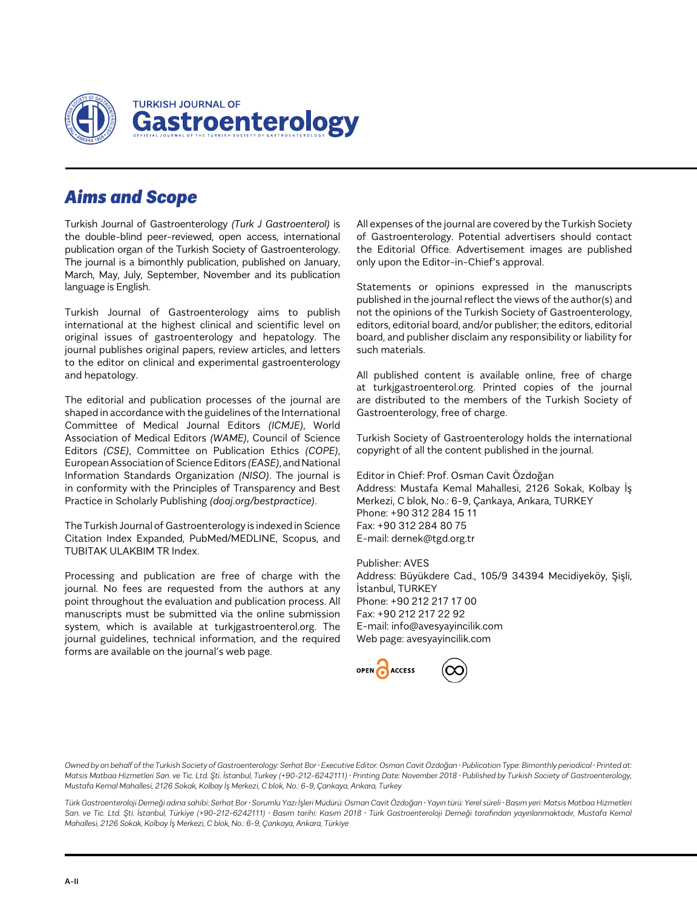

# *Aims and Scope*

Turkish Journal of Gastroenterology *(Turk J Gastroenterol)* is the double-blind peer-reviewed, open access, international publication organ of the Turkish Society of Gastroenterology. The journal is a bimonthly publication, published on January, March, May, July, September, November and its publication language is English.

Turkish Journal of Gastroenterology aims to publish international at the highest clinical and scientific level on original issues of gastroenterology and hepatology. The journal publishes original papers, review articles, and letters to the editor on clinical and experimental gastroenterology and hepatology.

The editorial and publication processes of the journal are shaped in accordance with the guidelines of the International Committee of Medical Journal Editors *(ICMJE)*, World Association of Medical Editors *(WAME)*, Council of Science Editors *(CSE)*, Committee on Publication Ethics *(COPE)*, European Association of Science Editors *(EASE)*, and National Information Standards Organization *(NISO)*. The journal is in conformity with the Principles of Transparency and Best Practice in Scholarly Publishing *(doaj.org/bestpractice)*.

The Turkish Journal of Gastroenterology is indexed in Science Citation Index Expanded, PubMed/MEDLINE, Scopus, and TUBITAK ULAKBIM TR Index.

Processing and publication are free of charge with the journal. No fees are requested from the authors at any point throughout the evaluation and publication process. All manuscripts must be submitted via the online submission system, which is available at turkjgastroenterol.org. The journal guidelines, technical information, and the required forms are available on the journal's web page.

All expenses of the journal are covered by the Turkish Society of Gastroenterology. Potential advertisers should contact the Editorial Office. Advertisement images are published only upon the Editor-in-Chief's approval.

Statements or opinions expressed in the manuscripts published in the journal reflect the views of the author(s) and not the opinions of the Turkish Society of Gastroenterology, editors, editorial board, and/or publisher; the editors, editorial board, and publisher disclaim any responsibility or liability for such materials.

All published content is available online, free of charge at turkjgastroenterol.org. Printed copies of the journal are distributed to the members of the Turkish Society of Gastroenterology, free of charge.

Turkish Society of Gastroenterology holds the international copyright of all the content published in the journal.

Editor in Chief: Prof. Osman Cavit Özdoğan Address: Mustafa Kemal Mahallesi, 2126 Sokak, Kolbay İş Merkezi, C blok, No.: 6-9, Çankaya, Ankara, TURKEY Phone: +90 312 284 15 11 Fax: +90 312 284 80 75 E-mail: dernek@tgd.org.tr

Publisher: AVES Address: Büyükdere Cad., 105/9 34394 Mecidiyeköy, Şişli, İstanbul, TURKEY Phone: +90 212 217 17 00 Fax: +90 212 217 22 92 E-mail: info@avesyayincilik.com Web page: avesyayincilik.com

ACCESS

*Owned by on behalf of the Turkish Society of Gastroenterology: Serhat Bor • Executive Editor: Osman Cavit Özdoğan • Publication Type: Bimonthly periodical • Printed at: Matsis Matbaa Hizmetleri San. ve Tic. Ltd. Şti. İstanbul, Turkey (+90-212-6242111) • Printing Date: November 2018 • Published by Turkish Society of Gastroenterology, Mustafa Kemal Mahallesi, 2126 Sokak, Kolbay İş Merkezi, C blok, No.: 6-9, Çankaya, Ankara, Turkey*

*Türk Gastroenteroloji Derneği adına sahibi: Serhat Bor • Sorumlu Yazı İşleri Müdürü: Osman Cavit Özdoğan • Yayın türü: Yerel süreli • Basım yeri: Matsis Matbaa Hizmetleri San. ve Tic. Ltd. Şti. İstanbul, Türkiye (+90-212-6242111) • Basım tarihi: Kasım 2018 • Türk Gastroenteroloji Derneği tarafından yayınlanmaktadır, Mustafa Kemal Mahallesi, 2126 Sokak, Kolbay İş Merkezi, C blok, No.: 6-9, Çankaya, Ankara, Türkiye*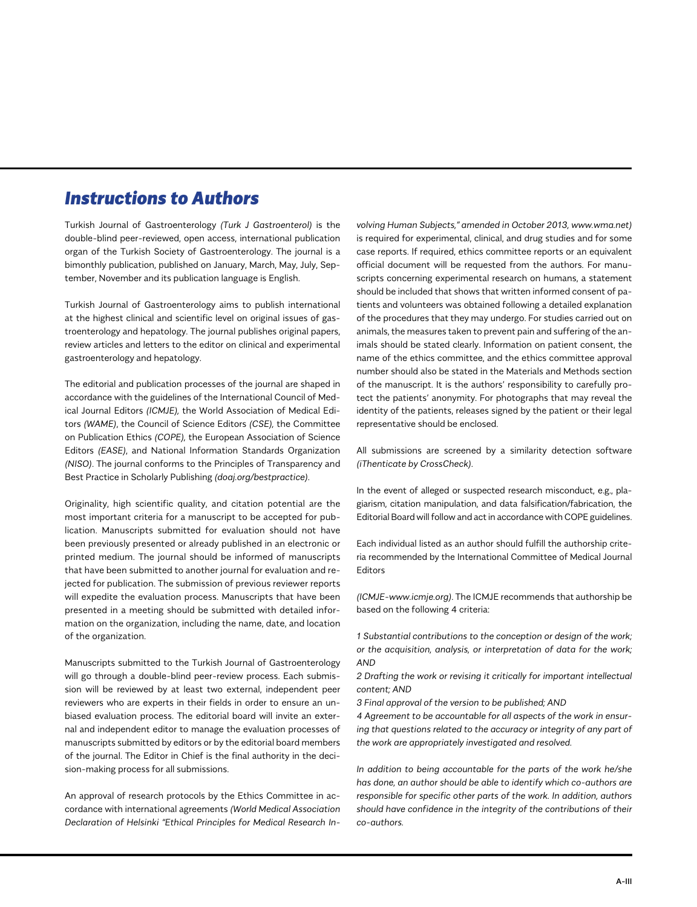# *Instructions to Authors*

Turkish Journal of Gastroenterology *(Turk J Gastroenterol)* is the double-blind peer-reviewed, open access, international publication organ of the Turkish Society of Gastroenterology. The journal is a bimonthly publication, published on January, March, May, July, September, November and its publication language is English.

Turkish Journal of Gastroenterology aims to publish international at the highest clinical and scientific level on original issues of gastroenterology and hepatology. The journal publishes original papers, review articles and letters to the editor on clinical and experimental gastroenterology and hepatology.

The editorial and publication processes of the journal are shaped in accordance with the guidelines of the International Council of Medical Journal Editors *(ICMJE),* the World Association of Medical Editors *(WAME)*, the Council of Science Editors *(CSE),* the Committee on Publication Ethics *(COPE),* the European Association of Science Editors *(EASE)*, and National Information Standards Organization *(NISO)*. The journal conforms to the Principles of Transparency and Best Practice in Scholarly Publishing *(doaj.org/bestpractice)*.

Originality, high scientific quality, and citation potential are the most important criteria for a manuscript to be accepted for publication. Manuscripts submitted for evaluation should not have been previously presented or already published in an electronic or printed medium. The journal should be informed of manuscripts that have been submitted to another journal for evaluation and rejected for publication. The submission of previous reviewer reports will expedite the evaluation process. Manuscripts that have been presented in a meeting should be submitted with detailed information on the organization, including the name, date, and location of the organization.

Manuscripts submitted to the Turkish Journal of Gastroenterology will go through a double-blind peer-review process. Each submission will be reviewed by at least two external, independent peer reviewers who are experts in their fields in order to ensure an unbiased evaluation process. The editorial board will invite an external and independent editor to manage the evaluation processes of manuscripts submitted by editors or by the editorial board members of the journal. The Editor in Chief is the final authority in the decision-making process for all submissions.

An approval of research protocols by the Ethics Committee in accordance with international agreements *(World Medical Association Declaration of Helsinki "Ethical Principles for Medical Research In-*

*volving Human Subjects," amended in October 2013, www.wma.net)* is required for experimental, clinical, and drug studies and for some case reports. If required, ethics committee reports or an equivalent official document will be requested from the authors. For manuscripts concerning experimental research on humans, a statement should be included that shows that written informed consent of patients and volunteers was obtained following a detailed explanation of the procedures that they may undergo. For studies carried out on animals, the measures taken to prevent pain and suffering of the animals should be stated clearly. Information on patient consent, the name of the ethics committee, and the ethics committee approval number should also be stated in the Materials and Methods section of the manuscript. It is the authors' responsibility to carefully protect the patients' anonymity. For photographs that may reveal the identity of the patients, releases signed by the patient or their legal representative should be enclosed.

All submissions are screened by a similarity detection software *(iThenticate by CrossCheck)*.

In the event of alleged or suspected research misconduct, e.g., plagiarism, citation manipulation, and data falsification/fabrication, the Editorial Board will follow and act in accordance with COPE guidelines.

Each individual listed as an author should fulfill the authorship criteria recommended by the International Committee of Medical Journal Editors

*(ICMJE-www.icmje.org)*. The ICMJE recommends that authorship be based on the following 4 criteria:

*1 Substantial contributions to the conception or design of the work; or the acquisition, analysis, or interpretation of data for the work; AND*

*2 Drafting the work or revising it critically for important intellectual content; AND*

*3 Final approval of the version to be published; AND*

*4 Agreement to be accountable for all aspects of the work in ensuring that questions related to the accuracy or integrity of any part of the work are appropriately investigated and resolved.*

*In addition to being accountable for the parts of the work he/she has done, an author should be able to identify which co-authors are responsible for specific other parts of the work. In addition, authors should have confidence in the integrity of the contributions of their co-authors.*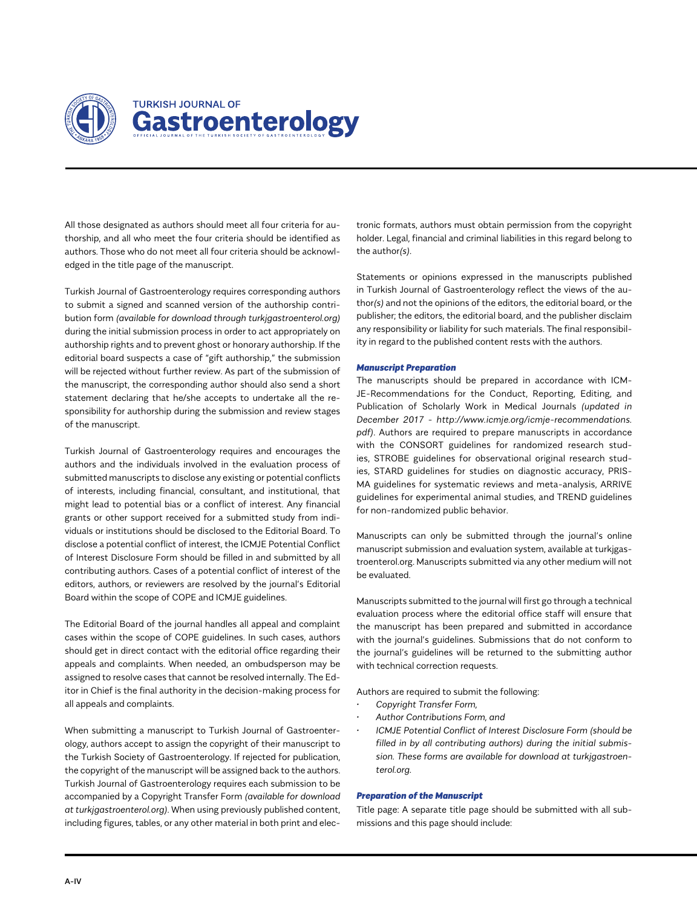

All those designated as authors should meet all four criteria for authorship, and all who meet the four criteria should be identified as authors. Those who do not meet all four criteria should be acknowledged in the title page of the manuscript.

Turkish Journal of Gastroenterology requires corresponding authors to submit a signed and scanned version of the authorship contribution form *(available for download through turkjgastroenterol.org)* during the initial submission process in order to act appropriately on authorship rights and to prevent ghost or honorary authorship. If the editorial board suspects a case of "gift authorship," the submission will be rejected without further review. As part of the submission of the manuscript, the corresponding author should also send a short statement declaring that he/she accepts to undertake all the responsibility for authorship during the submission and review stages of the manuscript.

Turkish Journal of Gastroenterology requires and encourages the authors and the individuals involved in the evaluation process of submitted manuscripts to disclose any existing or potential conflicts of interests, including financial, consultant, and institutional, that might lead to potential bias or a conflict of interest. Any financial grants or other support received for a submitted study from individuals or institutions should be disclosed to the Editorial Board. To disclose a potential conflict of interest, the ICMJE Potential Conflict of Interest Disclosure Form should be filled in and submitted by all contributing authors. Cases of a potential conflict of interest of the editors, authors, or reviewers are resolved by the journal's Editorial Board within the scope of COPE and ICMJE guidelines.

The Editorial Board of the journal handles all appeal and complaint cases within the scope of COPE guidelines. In such cases, authors should get in direct contact with the editorial office regarding their appeals and complaints. When needed, an ombudsperson may be assigned to resolve cases that cannot be resolved internally. The Editor in Chief is the final authority in the decision-making process for all appeals and complaints.

When submitting a manuscript to Turkish Journal of Gastroenterology, authors accept to assign the copyright of their manuscript to the Turkish Society of Gastroenterology. If rejected for publication, the copyright of the manuscript will be assigned back to the authors. Turkish Journal of Gastroenterology requires each submission to be accompanied by a Copyright Transfer Form *(available for download at turkjgastroenterol.org)*. When using previously published content, including figures, tables, or any other material in both print and elec-

tronic formats, authors must obtain permission from the copyright holder. Legal, financial and criminal liabilities in this regard belong to the author*(s)*.

Statements or opinions expressed in the manuscripts published in Turkish Journal of Gastroenterology reflect the views of the author*(s)* and not the opinions of the editors, the editorial board, or the publisher; the editors, the editorial board, and the publisher disclaim any responsibility or liability for such materials. The final responsibility in regard to the published content rests with the authors.

#### *Manuscript Preparation*

The manuscripts should be prepared in accordance with ICM-JE-Recommendations for the Conduct, Reporting, Editing, and Publication of Scholarly Work in Medical Journals *(updated in December 2017 - http://www.icmje.org/icmje-recommendations. pdf)*. Authors are required to prepare manuscripts in accordance with the CONSORT guidelines for randomized research studies, STROBE guidelines for observational original research studies, STARD guidelines for studies on diagnostic accuracy, PRIS-MA guidelines for systematic reviews and meta-analysis, ARRIVE guidelines for experimental animal studies, and TREND guidelines for non-randomized public behavior.

Manuscripts can only be submitted through the journal's online manuscript submission and evaluation system, available at turkjgastroenterol.org. Manuscripts submitted via any other medium will not be evaluated.

Manuscripts submitted to the journal will first go through a technical evaluation process where the editorial office staff will ensure that the manuscript has been prepared and submitted in accordance with the journal's guidelines. Submissions that do not conform to the journal's guidelines will be returned to the submitting author with technical correction requests.

Authors are required to submit the following:

- *• Copyright Transfer Form,*
- *• Author Contributions Form, and*
- *• ICMJE Potential Conflict of Interest Disclosure Form (should be filled in by all contributing authors) during the initial submission. These forms are available for download at turkjgastroenterol.org.*

# *Preparation of the Manuscript*

Title page: A separate title page should be submitted with all submissions and this page should include: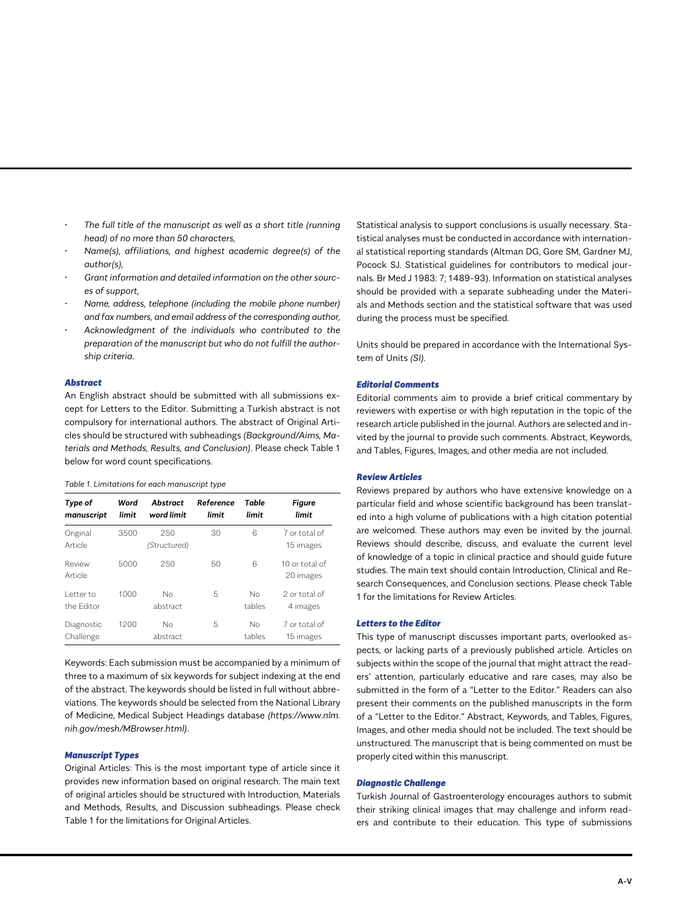- *• The full title of the manuscript as well as a short title (running head) of no more than 50 characters,*
- *• Name(s), affiliations, and highest academic degree(s) of the author(s),*
- *• Grant information and detailed information on the other sources of support,*
- *• Name, address, telephone (including the mobile phone number) and fax numbers, and email address of the corresponding author,*
- *• Acknowledgment of the individuals who contributed to the preparation of the manuscript but who do not fulfill the authorship criteria.*

#### *Abstract*

An English abstract should be submitted with all submissions except for Letters to the Editor. Submitting a Turkish abstract is not compulsory for international authors. The abstract of Original Articles should be structured with subheadings *(Background/Aims, Materials and Methods, Results, and Conclusion)*. Please check Table 1 below for word count specifications.

#### *Table 1. Limitations for each manuscript type*

| Type of<br>manuscript   | Word<br>limit | Abstract<br>word limit | Reference<br>limit | Table<br>limit | <b>Figure</b><br>limit      |
|-------------------------|---------------|------------------------|--------------------|----------------|-----------------------------|
| Original<br>Article     | 3500          | 250<br>(Structured)    | 30                 | 6              | 7 or total of<br>15 images  |
| Review<br>Article       | 5000          | 250                    | 50                 | 6              | 10 or total of<br>20 images |
| Letter to<br>the Editor | 1000          | No<br>abstract         | 5                  | No<br>tables   | 2 or total of<br>4 images   |
| Diagnostic<br>Challenge | 1200          | Nο<br>abstract         | 5                  | No<br>tables   | 7 or total of<br>15 images  |

Keywords: Each submission must be accompanied by a minimum of three to a maximum of six keywords for subject indexing at the end of the abstract. The keywords should be listed in full without abbreviations. The keywords should be selected from the National Library of Medicine, Medical Subject Headings database *(https://www.nlm. nih.gov/mesh/MBrowser.html)*.

#### *Manuscript Types*

Original Articles: This is the most important type of article since it provides new information based on original research. The main text of original articles should be structured with Introduction, Materials and Methods, Results, and Discussion subheadings. Please check Table 1 for the limitations for Original Articles.

Statistical analysis to support conclusions is usually necessary. Statistical analyses must be conducted in accordance with international statistical reporting standards (Altman DG, Gore SM, Gardner MJ, Pocock SJ. Statistical guidelines for contributors to medical journals. Br Med J 1983: 7; 1489-93). Information on statistical analyses should be provided with a separate subheading under the Materials and Methods section and the statistical software that was used during the process must be specified.

Units should be prepared in accordance with the International System of Units *(SI).*

#### *Editorial Comments*

Editorial comments aim to provide a brief critical commentary by reviewers with expertise or with high reputation in the topic of the research article published in the journal. Authors are selected and invited by the journal to provide such comments. Abstract, Keywords, and Tables, Figures, Images, and other media are not included.

#### *Review Articles*

Reviews prepared by authors who have extensive knowledge on a particular field and whose scientific background has been translated into a high volume of publications with a high citation potential are welcomed. These authors may even be invited by the journal. Reviews should describe, discuss, and evaluate the current level of knowledge of a topic in clinical practice and should guide future studies. The main text should contain Introduction, Clinical and Research Consequences, and Conclusion sections. Please check Table 1 for the limitations for Review Articles.

#### *Letters to the Editor*

This type of manuscript discusses important parts, overlooked aspects, or lacking parts of a previously published article. Articles on subjects within the scope of the journal that might attract the readers' attention, particularly educative and rare cases, may also be submitted in the form of a "Letter to the Editor." Readers can also present their comments on the published manuscripts in the form of a "Letter to the Editor." Abstract, Keywords, and Tables, Figures, Images, and other media should not be included. The text should be unstructured. The manuscript that is being commented on must be properly cited within this manuscript.

#### *Diagnostic Challenge*

Turkish Journal of Gastroenterology encourages authors to submit their striking clinical images that may challenge and inform readers and contribute to their education. This type of submissions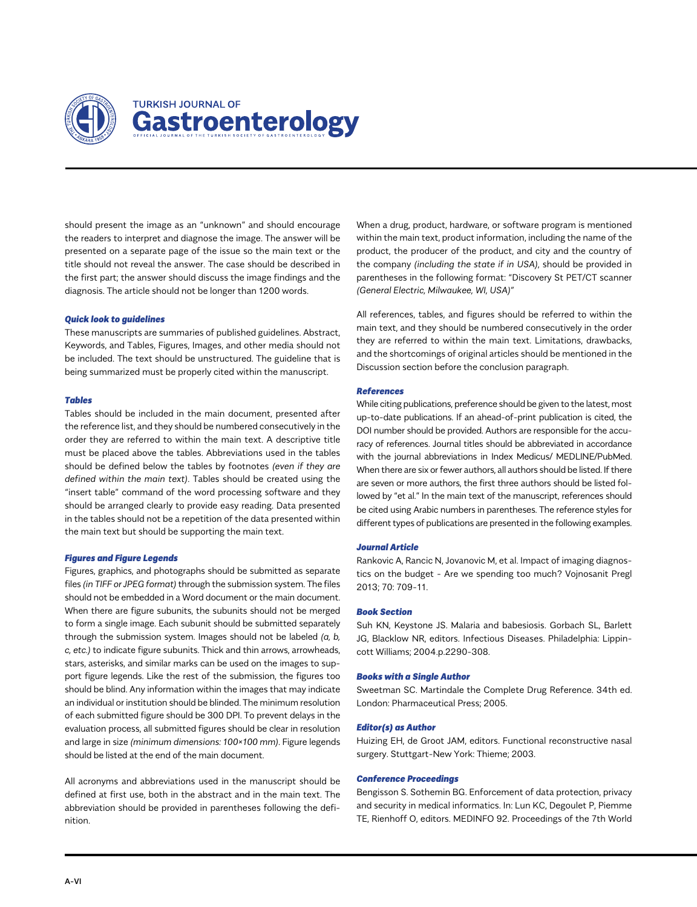

should present the image as an "unknown" and should encourage the readers to interpret and diagnose the image. The answer will be presented on a separate page of the issue so the main text or the title should not reveal the answer. The case should be described in the first part; the answer should discuss the image findings and the diagnosis. The article should not be longer than 1200 words.

#### *Quick look to guidelines*

These manuscripts are summaries of published guidelines. Abstract, Keywords, and Tables, Figures, Images, and other media should not be included. The text should be unstructured. The guideline that is being summarized must be properly cited within the manuscript.

#### *Tables*

Tables should be included in the main document, presented after the reference list, and they should be numbered consecutively in the order they are referred to within the main text. A descriptive title must be placed above the tables. Abbreviations used in the tables should be defined below the tables by footnotes *(even if they are defined within the main text)*. Tables should be created using the "insert table" command of the word processing software and they should be arranged clearly to provide easy reading. Data presented in the tables should not be a repetition of the data presented within the main text but should be supporting the main text.

#### *Figures and Figure Legends*

Figures, graphics, and photographs should be submitted as separate files *(in TIFF or JPEG format)* through the submission system. The files should not be embedded in a Word document or the main document. When there are figure subunits, the subunits should not be merged to form a single image. Each subunit should be submitted separately through the submission system. Images should not be labeled *(a, b, c, etc.)* to indicate figure subunits. Thick and thin arrows, arrowheads, stars, asterisks, and similar marks can be used on the images to support figure legends. Like the rest of the submission, the figures too should be blind. Any information within the images that may indicate an individual or institution should be blinded. The minimum resolution of each submitted figure should be 300 DPI. To prevent delays in the evaluation process, all submitted figures should be clear in resolution and large in size *(minimum dimensions: 100×100 mm)*. Figure legends should be listed at the end of the main document.

All acronyms and abbreviations used in the manuscript should be defined at first use, both in the abstract and in the main text. The abbreviation should be provided in parentheses following the definition.

When a drug, product, hardware, or software program is mentioned within the main text, product information, including the name of the product, the producer of the product, and city and the country of the company *(including the state if in USA)*, should be provided in parentheses in the following format: "Discovery St PET/CT scanner *(General Electric, Milwaukee, WI, USA)"*

All references, tables, and figures should be referred to within the main text, and they should be numbered consecutively in the order they are referred to within the main text. Limitations, drawbacks, and the shortcomings of original articles should be mentioned in the Discussion section before the conclusion paragraph.

#### *References*

While citing publications, preference should be given to the latest, most up-to-date publications. If an ahead-of-print publication is cited, the DOI number should be provided. Authors are responsible for the accuracy of references. Journal titles should be abbreviated in accordance with the journal abbreviations in Index Medicus/ MEDLINE/PubMed. When there are six or fewer authors, all authors should be listed. If there are seven or more authors, the first three authors should be listed followed by "et al." In the main text of the manuscript, references should be cited using Arabic numbers in parentheses. The reference styles for different types of publications are presented in the following examples.

#### *Journal Article*

Rankovic A, Rancic N, Jovanovic M, et al. Impact of imaging diagnostics on the budget - Are we spending too much? Vojnosanit Pregl 2013; 70: 709-11.

#### *Book Section*

Suh KN, Keystone JS. Malaria and babesiosis. Gorbach SL, Barlett JG, Blacklow NR, editors. Infectious Diseases. Philadelphia: Lippincott Williams; 2004.p.2290-308.

#### *Books with a Single Author*

Sweetman SC. Martindale the Complete Drug Reference. 34th ed. London: Pharmaceutical Press; 2005.

#### *Editor(s) as Author*

Huizing EH, de Groot JAM, editors. Functional reconstructive nasal surgery. Stuttgart-New York: Thieme; 2003.

#### *Conference Proceedings*

Bengisson S. Sothemin BG. Enforcement of data protection, privacy and security in medical informatics. In: Lun KC, Degoulet P, Piemme TE, Rienhoff O, editors. MEDINFO 92. Proceedings of the 7th World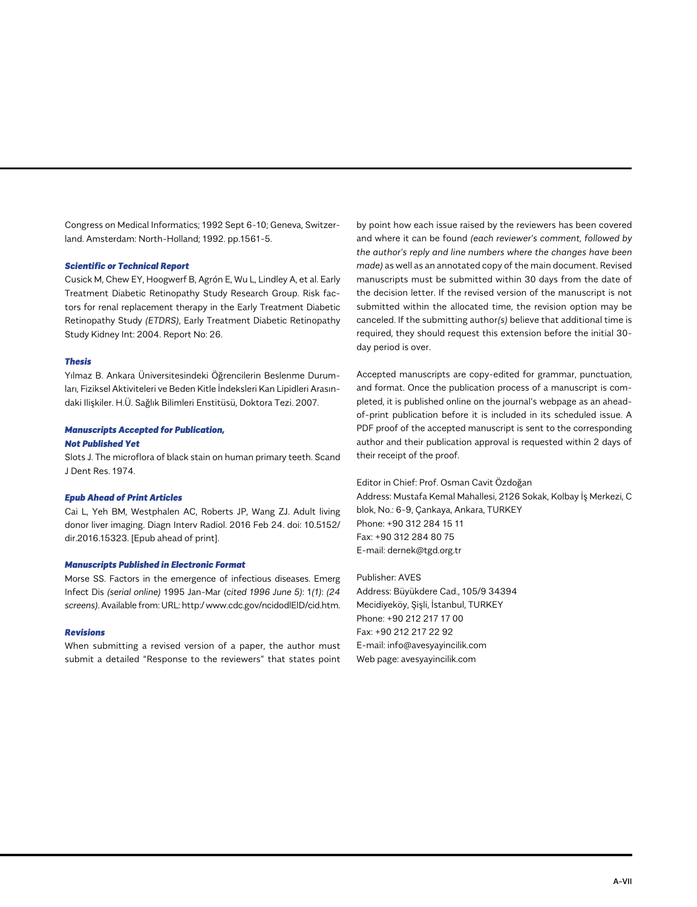Congress on Medical Informatics; 1992 Sept 6-10; Geneva, Switzerland. Amsterdam: North-Holland; 1992. pp.1561-5.

#### *Scientific or Technical Report*

Cusick M, Chew EY, Hoogwerf B, Agrón E, Wu L, Lindley A, et al. Early Treatment Diabetic Retinopathy Study Research Group. Risk factors for renal replacement therapy in the Early Treatment Diabetic Retinopathy Study *(ETDRS)*, Early Treatment Diabetic Retinopathy Study Kidney Int: 2004. Report No: 26.

#### *Thesis*

Yılmaz B. Ankara Üniversitesindeki Öğrencilerin Beslenme Durumları, Fiziksel Aktiviteleri ve Beden Kitle İndeksleri Kan Lipidleri Arasındaki Ilişkiler. H.Ü. Sağlık Bilimleri Enstitüsü, Doktora Tezi. 2007.

#### *Manuscripts Accepted for Publication,*

#### *Not Published Yet*

Slots J. The microflora of black stain on human primary teeth. Scand J Dent Res. 1974.

#### *Epub Ahead of Print Articles*

Cai L, Yeh BM, Westphalen AC, Roberts JP, Wang ZJ. Adult living donor liver imaging. Diagn Interv Radiol. 2016 Feb 24. doi: 10.5152/ dir.2016.15323. [Epub ahead of print].

#### *Manuscripts Published in Electronic Format*

Morse SS. Factors in the emergence of infectious diseases. Emerg Infect Dis *(serial online)* 1995 Jan-Mar (*cited 1996 June 5)*: 1*(1)*: *(24 screens)*. Available from: URL: http:/ www.cdc.gov/ncidodlElD/cid.htm.

#### *Revisions*

When submitting a revised version of a paper, the author must submit a detailed "Response to the reviewers" that states point

by point how each issue raised by the reviewers has been covered and where it can be found *(each reviewer's comment, followed by the author's reply and line numbers where the changes have been made)* as well as an annotated copy of the main document. Revised manuscripts must be submitted within 30 days from the date of the decision letter. If the revised version of the manuscript is not submitted within the allocated time, the revision option may be canceled. If the submitting author*(s)* believe that additional time is required, they should request this extension before the initial 30 day period is over.

Accepted manuscripts are copy-edited for grammar, punctuation, and format. Once the publication process of a manuscript is completed, it is published online on the journal's webpage as an aheadof-print publication before it is included in its scheduled issue. A PDF proof of the accepted manuscript is sent to the corresponding author and their publication approval is requested within 2 days of their receipt of the proof.

Editor in Chief: Prof. Osman Cavit Özdoğan Address: Mustafa Kemal Mahallesi, 2126 Sokak, Kolbay İş Merkezi, C blok, No.: 6-9, Çankaya, Ankara, TURKEY Phone: +90 312 284 15 11 Fax: +90 312 284 80 75 E-mail: dernek@tgd.org.tr

Publisher: AVES Address: Büyükdere Cad., 105/9 34394 Mecidiyeköy, Şişli, İstanbul, TURKEY Phone: +90 212 217 17 00 Fax: +90 212 217 22 92 E-mail: info@avesyayincilik.com Web page: avesyayincilik.com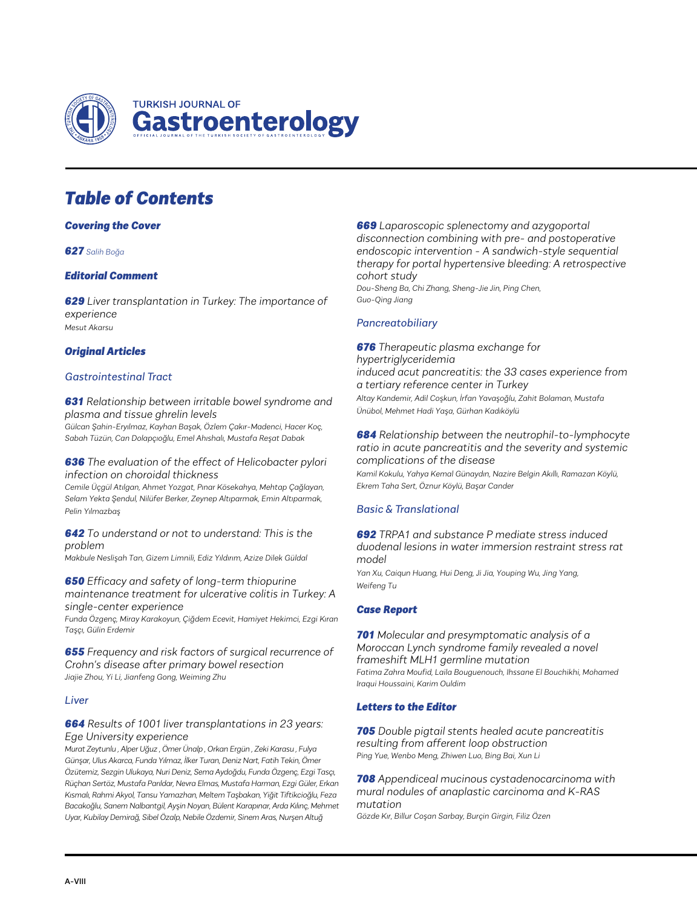

# *Table of Contents*

# *Covering the Cover*

# *627 Salih Boğa*

# *Editorial Comment*

*629 Liver transplantation in Turkey: The importance of experience Mesut Akarsu*

# *Original Articles*

# *Gastrointestinal Tract*

*631 Relationship between irritable bowel syndrome and plasma and tissue ghrelin levels*

*Gülcan Şahin-Eryılmaz, Kayhan Başak, Özlem Çakır-Madenci, Hacer Koç, Sabah Tüzün, Can Dolapçıoğlu, Emel Ahıshalı, Mustafa Reşat Dabak*

## *636 The evaluation of the effect of Helicobacter pylori infection on choroidal thickness*

*Cemile Üçgül Atılgan, Ahmet Yozgat, Pınar Kösekahya, Mehtap Çağlayan, Selam Yekta Şendul, Nilüfer Berker, Zeynep Altıparmak, Emin Altıparmak, Pelin Yılmazbaş*

### *642 To understand or not to understand: This is the problem*

*Makbule Neslişah Tan, Gizem Limnili, Ediz Yıldırım, Azize Dilek Güldal*

# *650 Efficacy and safety of long-term thiopurine maintenance treatment for ulcerative colitis in Turkey: A single-center experience*

*Funda Özgenç, Miray Karakoyun, Çiğdem Ecevit, Hamiyet Hekimci, Ezgi Kıran Taşçı, Gülin Erdemir*

# *655 Frequency and risk factors of surgical recurrence of Crohn's disease after primary bowel resection Jiajie Zhou, Yi Li, Jianfeng Gong, Weiming Zhu*

# *Liver*

# *664 Results of 1001 liver transplantations in 23 years: Ege University experience*

*Murat Zeytunlu , Alper Uğuz , Ömer Ünalp , Orkan Ergün , Zeki Karasu , Fulya Günşar, Ulus Akarca, Funda Yılmaz, İlker Turan, Deniz Nart, Fatih Tekin, Ömer Özütemiz, Sezgin Ulukaya, Nuri Deniz, Sema Aydoğdu, Funda Özgenç, Ezgi Tasçı, Rüçhan Sertöz, Mustafa Parıldar, Nevra Elmas, Mustafa Harman, Ezgi Güler, Erkan Kısmalı, Rahmi Akyol, Tansu Yamazhan, Meltem Taşbakan, Yiğit Tiftikcioğlu, Feza Bacakoğlu, Sanem Nalbantgil, Ayşin Noyan, Bülent Karapınar, Arda Kılınç, Mehmet Uyar, Kubilay Demirağ, Sibel Özalp, Nebile Özdemir, Sinem Aras, Nurşen Altuğ*

*669 Laparoscopic splenectomy and azygoportal disconnection combining with pre- and postoperative endoscopic intervention - A sandwich-style sequential therapy for portal hypertensive bleeding: A retrospective cohort study Dou-Sheng Ba, Chi Zhang, Sheng-Jie Jin, Ping Chen, Guo-Qing Jiang*

# *Pancreatobiliary*

# *676 Therapeutic plasma exchange for hypertriglyceridemia induced acut pancreatitis: the 33 cases experience from a tertiary reference center in Turkey Altay Kandemir, Adil Coşkun, İrfan Yavaşoğlu, Zahit Bolaman, Mustafa Ünübol, Mehmet Hadi Yaşa, Gürhan Kadıköylü*

## *684 Relationship between the neutrophil-to-lymphocyte ratio in acute pancreatitis and the severity and systemic complications of the disease*

*Kamil Kokulu, Yahya Kemal Günaydın, Nazire Belgin Akıllı, Ramazan Köylü, Ekrem Taha Sert, Öznur Köylü, Başar Cander*

# *Basic & Translational*

# *692 TRPA1 and substance P mediate stress induced duodenal lesions in water immersion restraint stress rat model*

*Yan Xu, Caiqun Huang, Hui Deng, Ji Jia, Youping Wu, Jing Yang, Weifeng Tu*

# *Case Report*

*701 Molecular and presymptomatic analysis of a Moroccan Lynch syndrome family revealed a novel frameshift MLH1 germline mutation Fatima Zahra Moufid, Laila Bouguenouch, Ihssane El Bouchikhi, Mohamed Iraqui Houssaini, Karim Ouldim*

# *Letters to the Editor*

*705 Double pigtail stents healed acute pancreatitis resulting from afferent loop obstruction Ping Yue, Wenbo Meng, Zhiwen Luo, Bing Bai, Xun Li*

*708 Appendiceal mucinous cystadenocarcinoma with mural nodules of anaplastic carcinoma and K-RAS mutation Gözde Kır, Billur Coşan Sarbay, Burçin Girgin, Filiz Özen*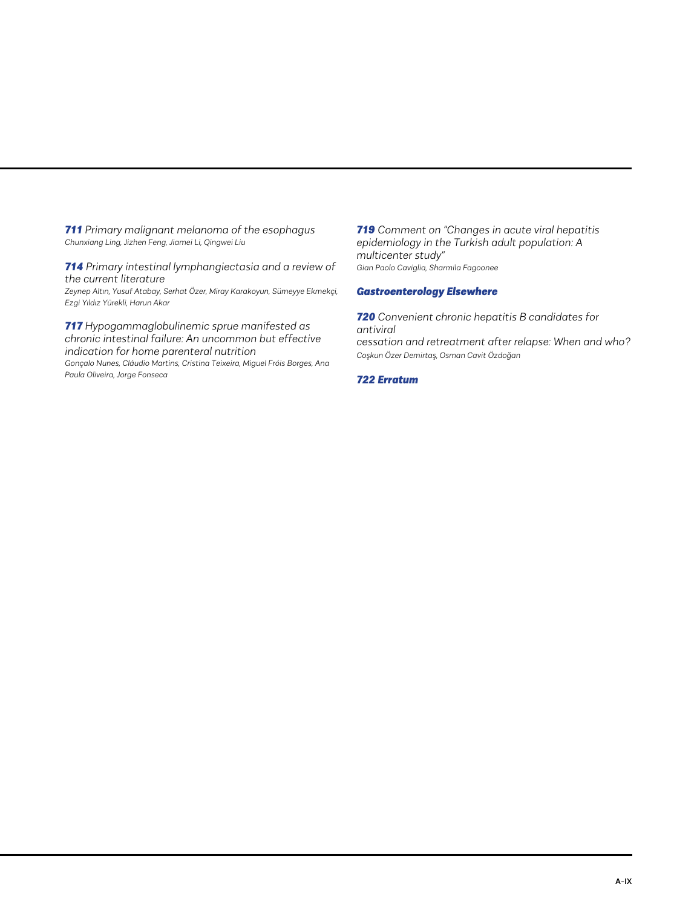*711 Primary malignant melanoma of the esophagus Chunxiang Ling, Jizhen Feng, Jiamei Li, Qingwei Liu*

*714 Primary intestinal lymphangiectasia and a review of the current literature Zeynep Altın, Yusuf Atabay, Serhat Özer, Miray Karakoyun, Sümeyye Ekmekçi, Ezgi Yıldız Yürekli, Harun Akar*

*717 Hypogammaglobulinemic sprue manifested as chronic intestinal failure: An uncommon but effective indication for home parenteral nutrition*

*Gonçalo Nunes, Cláudio Martins, Cristina Teixeira, Miguel Fróis Borges, Ana Paula Oliveira, Jorge Fonseca*

*719 Comment on "Changes in acute viral hepatitis epidemiology in the Turkish adult population: A multicenter study" Gian Paolo Caviglia, Sharmila Fagoonee*

# *Gastroenterology Elsewhere*

*720 Convenient chronic hepatitis B candidates for antiviral cessation and retreatment after relapse: When and who? Coşkun Özer Demirtaş, Osman Cavit Özdoğan*

# *722 Erratum*